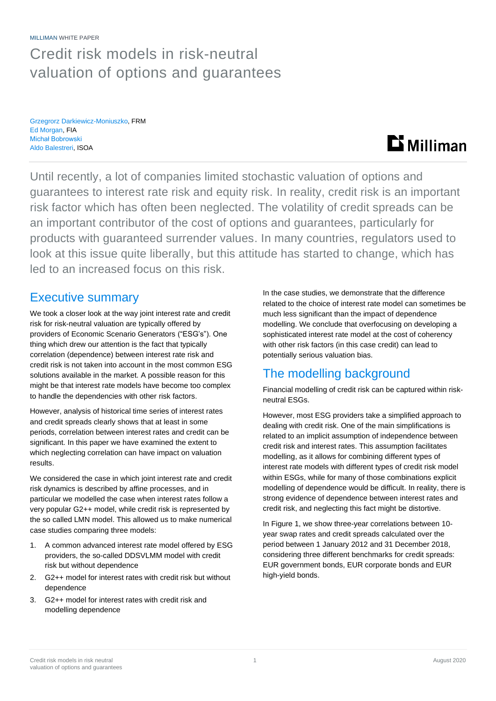MILLIMAN WHITE PAPER

## Credit risk models in risk-neutral valuation of options and guarantees

Grzegrorz Darkiewicz-Moniuszko, FRM Ed Morgan, FIA Michał Bobrowski Aldo Balestreri, ISOA

# **Li** Milliman

Until recently, a lot of companies limited stochastic valuation of options and guarantees to interest rate risk and equity risk. In reality, credit risk is an important risk factor which has often been neglected. The volatility of credit spreads can be an important contributor of the cost of options and guarantees, particularly for products with guaranteed surrender values. In many countries, regulators used to look at this issue quite liberally, but this attitude has started to change, which has led to an increased focus on this risk.

### Executive summary

We took a closer look at the way joint interest rate and credit risk for risk-neutral valuation are typically offered by providers of Economic Scenario Generators ("ESG's"). One thing which drew our attention is the fact that typically correlation (dependence) between interest rate risk and credit risk is not taken into account in the most common ESG solutions available in the market. A possible reason for this might be that interest rate models have become too complex to handle the dependencies with other risk factors.

However, analysis of historical time series of interest rates and credit spreads clearly shows that at least in some periods, correlation between interest rates and credit can be significant. In this paper we have examined the extent to which neglecting correlation can have impact on valuation results.

We considered the case in which joint interest rate and credit risk dynamics is described by affine processes, and in particular we modelled the case when interest rates follow a very popular G2++ model, while credit risk is represented by the so called LMN model. This allowed us to make numerical case studies comparing three models:

- 1. A common advanced interest rate model offered by ESG providers, the so-called DDSVLMM model with credit risk but without dependence
- 2. G2++ model for interest rates with credit risk but without dependence
- 3. G2++ model for interest rates with credit risk and modelling dependence

In the case studies, we demonstrate that the difference related to the choice of interest rate model can sometimes be much less significant than the impact of dependence modelling. We conclude that overfocusing on developing a sophisticated interest rate model at the cost of coherency with other risk factors (in this case credit) can lead to potentially serious valuation bias.

### The modelling background

Financial modelling of credit risk can be captured within riskneutral ESGs.

However, most ESG providers take a simplified approach to dealing with credit risk. One of the main simplifications is related to an implicit assumption of independence between credit risk and interest rates. This assumption facilitates modelling, as it allows for combining different types of interest rate models with different types of credit risk model within ESGs, while for many of those combinations explicit modelling of dependence would be difficult. In reality, there is strong evidence of dependence between interest rates and credit risk, and neglecting this fact might be distortive.

In Figure 1, we show three-year correlations between 10 year swap rates and credit spreads calculated over the period between 1 January 2012 and 31 December 2018, considering three different benchmarks for credit spreads: EUR government bonds, EUR corporate bonds and EUR high-yield bonds.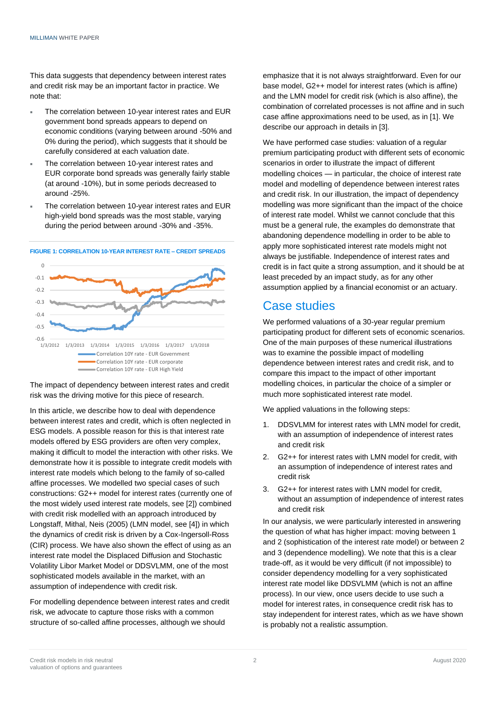This data suggests that dependency between interest rates and credit risk may be an important factor in practice. We note that:

- The correlation between 10-year interest rates and EUR government bond spreads appears to depend on economic conditions (varying between around -50% and 0% during the period), which suggests that it should be carefully considered at each valuation date.
- The correlation between 10-year interest rates and EUR corporate bond spreads was generally fairly stable (at around -10%), but in some periods decreased to around -25%.
- The correlation between 10-year interest rates and EUR high-yield bond spreads was the most stable, varying during the period between around -30% and -35%.



### **FIGURE 1: CORRELATION 10-YEAR INTEREST RATE – CREDIT SPREADS**

The impact of dependency between interest rates and credit risk was the driving motive for this piece of research.

In this article, we describe how to deal with dependence between interest rates and credit, which is often neglected in ESG models. A possible reason for this is that interest rate models offered by ESG providers are often very complex, making it difficult to model the interaction with other risks. We demonstrate how it is possible to integrate credit models with interest rate models which belong to the family of so-called affine processes. We modelled two special cases of such constructions: G2++ model for interest rates (currently one of the most widely used interest rate models, see [2]) combined with credit risk modelled with an approach introduced by Longstaff, Mithal, Neis (2005) (LMN model, see [4]) in which the dynamics of credit risk is driven by a Cox-Ingersoll-Ross (CIR) process. We have also shown the effect of using as an interest rate model the Displaced Diffusion and Stochastic Volatility Libor Market Model or DDSVLMM, one of the most sophisticated models available in the market, with an assumption of independence with credit risk.

For modelling dependence between interest rates and credit risk, we advocate to capture those risks with a common structure of so-called affine processes, although we should

emphasize that it is not always straightforward. Even for our base model, G2++ model for interest rates (which is affine) and the LMN model for credit risk (which is also affine), the combination of correlated processes is not affine and in such case affine approximations need to be used, as in [1]. We describe our approach in details in [3].

We have performed case studies: valuation of a regular premium participating product with different sets of economic scenarios in order to illustrate the impact of different modelling choices — in particular, the choice of interest rate model and modelling of dependence between interest rates and credit risk. In our illustration, the impact of dependency modelling was more significant than the impact of the choice of interest rate model. Whilst we cannot conclude that this must be a general rule, the examples do demonstrate that abandoning dependence modelling in order to be able to apply more sophisticated interest rate models might not always be justifiable. Independence of interest rates and credit is in fact quite a strong assumption, and it should be at least preceded by an impact study, as for any other assumption applied by a financial economist or an actuary.

### Case studies

We performed valuations of a 30-year regular premium participating product for different sets of economic scenarios. One of the main purposes of these numerical illustrations was to examine the possible impact of modelling dependence between interest rates and credit risk, and to compare this impact to the impact of other important modelling choices, in particular the choice of a simpler or much more sophisticated interest rate model.

We applied valuations in the following steps:

- 1. DDSVLMM for interest rates with LMN model for credit, with an assumption of independence of interest rates and credit risk
- 2. G2++ for interest rates with LMN model for credit, with an assumption of independence of interest rates and credit risk
- 3. G2++ for interest rates with LMN model for credit, without an assumption of independence of interest rates and credit risk

In our analysis, we were particularly interested in answering the question of what has higher impact: moving between 1 and 2 (sophistication of the interest rate model) or between 2 and 3 (dependence modelling). We note that this is a clear trade-off, as it would be very difficult (if not impossible) to consider dependency modelling for a very sophisticated interest rate model like DDSVLMM (which is not an affine process). In our view, once users decide to use such a model for interest rates, in consequence credit risk has to stay independent for interest rates, which as we have shown is probably not a realistic assumption.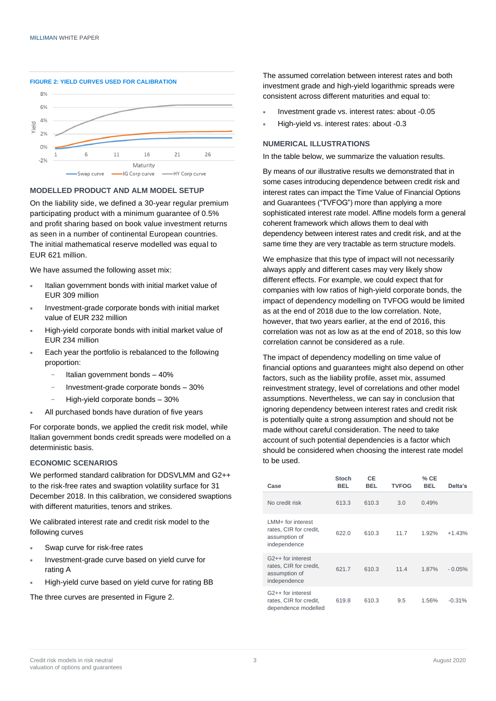

#### **MODELLED PRODUCT AND ALM MODEL SETUP**

On the liability side, we defined a 30-year regular premium participating product with a minimum guarantee of 0.5% and profit sharing based on book value investment returns as seen in a number of continental European countries. The initial mathematical reserve modelled was equal to EUR 621 million.

We have assumed the following asset mix:

- **Italian government bonds with initial market value of** EUR 309 million
- Investment-grade corporate bonds with initial market value of EUR 232 million
- High-yield corporate bonds with initial market value of EUR 234 million
- Each year the portfolio is rebalanced to the following proportion:
	- − Italian government bonds 40%
	- − Investment-grade corporate bonds 30%
	- − High-yield corporate bonds 30%
- All purchased bonds have duration of five years

For corporate bonds, we applied the credit risk model, while Italian government bonds credit spreads were modelled on a deterministic basis.

#### **ECONOMIC SCENARIOS**

We performed standard calibration for DDSVLMM and G2++ to the risk-free rates and swaption volatility surface for 31 December 2018. In this calibration, we considered swaptions with different maturities, tenors and strikes.

We calibrated interest rate and credit risk model to the following curves

- Swap curve for risk-free rates
- Investment-grade curve based on yield curve for rating A
- High-yield curve based on yield curve for rating BB

The three curves are presented in Figure 2.

The assumed correlation between interest rates and both investment grade and high-yield logarithmic spreads were consistent across different maturities and equal to:

- Investment grade vs. interest rates: about -0.05
- High-yield vs. interest rates: about -0.3

#### **NUMERICAL ILLUSTRATIONS**

In the table below, we summarize the valuation results.

By means of our illustrative results we demonstrated that in some cases introducing dependence between credit risk and interest rates can impact the Time Value of Financial Options and Guarantees ("TVFOG") more than applying a more sophisticated interest rate model. Affine models form a general coherent framework which allows them to deal with dependency between interest rates and credit risk, and at the same time they are very tractable as term structure models.

We emphasize that this type of impact will not necessarily always apply and different cases may very likely show different effects. For example, we could expect that for companies with low ratios of high-yield corporate bonds, the impact of dependency modelling on TVFOG would be limited as at the end of 2018 due to the low correlation. Note, however, that two years earlier, at the end of 2016, this correlation was not as low as at the end of 2018, so this low correlation cannot be considered as a rule.

The impact of dependency modelling on time value of financial options and guarantees might also depend on other factors, such as the liability profile, asset mix, assumed reinvestment strategy, level of correlations and other model assumptions. Nevertheless, we can say in conclusion that ignoring dependency between interest rates and credit risk is potentially quite a strong assumption and should not be made without careful consideration. The need to take account of such potential dependencies is a factor which should be considered when choosing the interest rate model to be used.

| Case                                                                                     | <b>Stoch</b><br><b>BEL</b> | <b>CE</b><br><b>BEL</b> | <b>TVFOG</b> | $%$ CE<br><b>BEL</b> | Delta's  |
|------------------------------------------------------------------------------------------|----------------------------|-------------------------|--------------|----------------------|----------|
| No credit risk                                                                           | 613.3                      | 610.3                   | 3.0          | 0.49%                |          |
| LMM+ for interest<br>rates, CIR for credit,<br>assumption of<br>independence             | 622.0                      | 610.3                   | 11.7         | 1.92%                | $+1.43%$ |
| G <sub>2++</sub> for interest<br>rates, CIR for credit,<br>assumption of<br>independence | 621.7                      | 610.3                   | 11.4         | 1.87%                | $-0.05%$ |
| G <sub>2++</sub> for interest<br>rates, CIR for credit,<br>dependence modelled           | 619.8                      | 610.3                   | 9.5          | 1.56%                | $-0.31%$ |